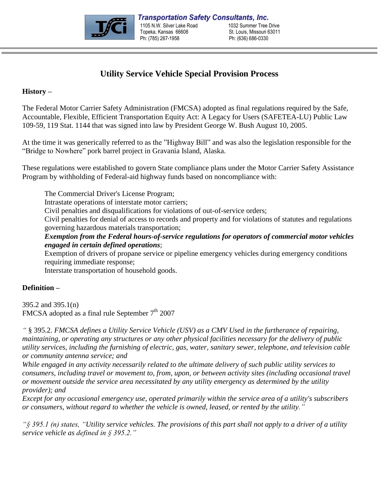

# **Utility Service Vehicle Special Provision Process**

# **History –**

The Federal Motor Carrier Safety Administration (FMCSA) adopted as final regulations required by the Safe, Accountable, Flexible, Efficient Transportation Equity Act: A Legacy for Users (SAFETEA-LU) Public Law 109-59, 119 Stat. 1144 that was signed into law by President George W. Bush August 10, 2005.

At the time it was generically referred to as the "Highway Bill" and was also the legislation responsible for the "Bridge to Nowhere" pork barrel project in Gravania Island, Alaska.

These regulations were established to govern State compliance plans under the Motor Carrier Safety Assistance Program by withholding of Federal-aid highway funds based on noncompliance with:

The Commercial Driver's License Program; Intrastate operations of interstate motor carriers; Civil penalties and disqualifications for violations of out-of-service orders; Civil penalties for denial of access to records and property and for violations of statutes and regulations governing hazardous materials transportation; *Exemption from the Federal hours-of-service regulations for operators of commercial motor vehicles engaged in certain defined operations*;

Exemption of drivers of propane service or pipeline emergency vehicles during emergency conditions requiring immediate response;

Interstate transportation of household goods.

# **Definition –**

395.2 and 395.1(n) FMCSA adopted as a final rule September  $7<sup>th</sup> 2007$ 

*"* § 395.2. *FMCSA defines a Utility Service Vehicle (USV) as a CMV Used in the furtherance of repairing, maintaining, or operating any structures or any other physical facilities necessary for the delivery of public utility services, including the furnishing of electric, gas, water, sanitary sewer, telephone, and television cable or community antenna service; and*

*While engaged in any activity necessarily related to the ultimate delivery of such public utility services to consumers, including travel or movement to, from, upon, or between activity sites (including occasional travel or movement outside the service area necessitated by any utility emergency as determined by the utility provider); and*

*Except for any occasional emergency use, operated primarily within the service area of a utility's subscribers or consumers, without regard to whether the vehicle is owned, leased, or rented by the utility."*

*"§ 395.1 (n) states, "Utility service vehicles. The provisions of this part shall not apply to a driver of a utility service vehicle as defined in § 395.2."*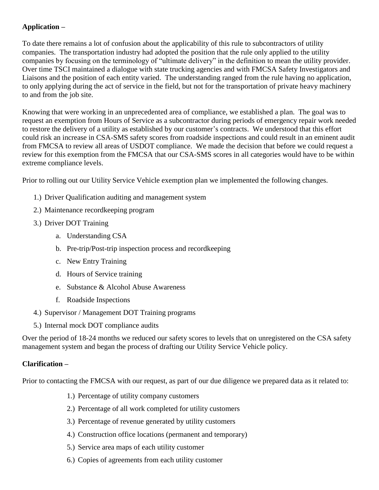# **Application –**

To date there remains a lot of confusion about the applicability of this rule to subcontractors of utility companies. The transportation industry had adopted the position that the rule only applied to the utility companies by focusing on the terminology of "ultimate delivery" in the definition to mean the utility provider. Over time TSCI maintained a dialogue with state trucking agencies and with FMCSA Safety Investigators and Liaisons and the position of each entity varied. The understanding ranged from the rule having no application, to only applying during the act of service in the field, but not for the transportation of private heavy machinery to and from the job site.

Knowing that were working in an unprecedented area of compliance, we established a plan. The goal was to request an exemption from Hours of Service as a subcontractor during periods of emergency repair work needed to restore the delivery of a utility as established by our customer's contracts. We understood that this effort could risk an increase in CSA-SMS safety scores from roadside inspections and could result in an eminent audit from FMCSA to review all areas of USDOT compliance. We made the decision that before we could request a review for this exemption from the FMCSA that our CSA-SMS scores in all categories would have to be within extreme compliance levels.

Prior to rolling out our Utility Service Vehicle exemption plan we implemented the following changes.

- 1.) Driver Qualification auditing and management system
- 2.) Maintenance recordkeeping program
- 3.) Driver DOT Training
	- a. Understanding CSA
	- b. Pre-trip/Post-trip inspection process and recordkeeping
	- c. New Entry Training
	- d. Hours of Service training
	- e. Substance & Alcohol Abuse Awareness
	- f. Roadside Inspections
- 4.) Supervisor / Management DOT Training programs
- 5.) Internal mock DOT compliance audits

Over the period of 18-24 months we reduced our safety scores to levels that on unregistered on the CSA safety management system and began the process of drafting our Utility Service Vehicle policy.

# **Clarification –**

Prior to contacting the FMCSA with our request, as part of our due diligence we prepared data as it related to:

- 1.) Percentage of utility company customers
- 2.) Percentage of all work completed for utility customers
- 3.) Percentage of revenue generated by utility customers
- 4.) Construction office locations (permanent and temporary)
- 5.) Service area maps of each utility customer
- 6.) Copies of agreements from each utility customer